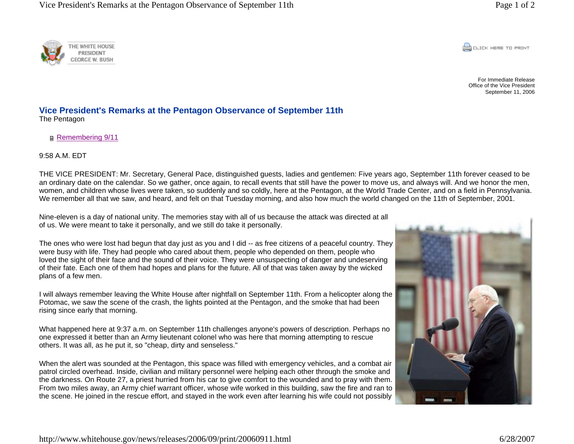

For Immediate Release Office of the Vice President September 11, 2006



## **Vice President's Remarks at the Pentagon Observance of September 11th**  The Pentagon

Remembering 9/11

9:58 A.M. EDT

THE VICE PRESIDENT: Mr. Secretary, General Pace, distinguished guests, ladies and gentlemen: Five years ago, September 11th forever ceased to be an ordinary date on the calendar. So we gather, once again, to recall events that still have the power to move us, and always will. And we honor the men, women, and children whose lives were taken, so suddenly and so coldly, here at the Pentagon, at the World Trade Center, and on a field in Pennsylvania. We remember all that we saw, and heard, and felt on that Tuesday morning, and also how much the world changed on the 11th of September, 2001.

Nine-eleven is a day of national unity. The memories stay with all of us because the attack was directed at all of us. We were meant to take it personally, and we still do take it personally.

The ones who were lost had begun that day just as you and I did -- as free citizens of a peaceful country. They were busy with life. They had people who cared about them, people who depended on them, people who loved the sight of their face and the sound of their voice. They were unsuspecting of danger and undeserving of their fate. Each one of them had hopes and plans for the future. All of that was taken away by the wicked plans of a few men.

I will always remember leaving the White House after nightfall on September 11th. From a helicopter along the Potomac, we saw the scene of the crash, the lights pointed at the Pentagon, and the smoke that had been rising since early that morning.

What happened here at 9:37 a.m. on September 11th challenges anyone's powers of description. Perhaps no one expressed it better than an Army lieutenant colonel who was here that morning attempting to rescue others. It was all, as he put it, so "cheap, dirty and senseless."

When the alert was sounded at the Pentagon, this space was filled with emergency vehicles, and a combat air patrol circled overhead. Inside, civilian and military personnel were helping each other through the smoke and the darkness. On Route 27, a priest hurried from his car to give comfort to the wounded and to pray with them. From two miles away, an Army chief warrant officer, whose wife worked in this building, saw the fire and ran to the scene. He joined in the rescue effort, and stayed in the work even after learning his wife could not possibly



http://www.whitehouse.gov/news/releases/2006/09/print/20060911.html 6/28/2007